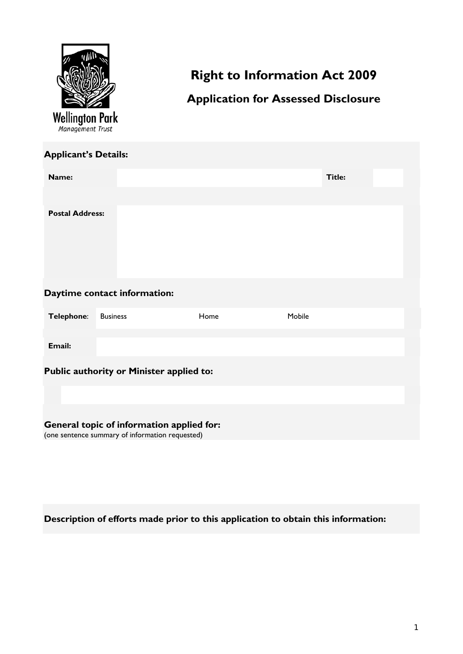

# **Right to Information Act 2009**

## **Application for Assessed Disclosure**

| <b>Applicant's Details:</b>                                                                  |                 |      |        |               |  |  |  |  |
|----------------------------------------------------------------------------------------------|-----------------|------|--------|---------------|--|--|--|--|
| Name:                                                                                        |                 |      |        | <b>Title:</b> |  |  |  |  |
|                                                                                              |                 |      |        |               |  |  |  |  |
| <b>Postal Address:</b>                                                                       |                 |      |        |               |  |  |  |  |
| Daytime contact information:                                                                 |                 |      |        |               |  |  |  |  |
| Telephone:                                                                                   | <b>Business</b> | Home | Mobile |               |  |  |  |  |
| Email:                                                                                       |                 |      |        |               |  |  |  |  |
| Public authority or Minister applied to:                                                     |                 |      |        |               |  |  |  |  |
|                                                                                              |                 |      |        |               |  |  |  |  |
| General topic of information applied for:<br>(one sentence summary of information requested) |                 |      |        |               |  |  |  |  |

# **Description of efforts made prior to this application to obtain this information:**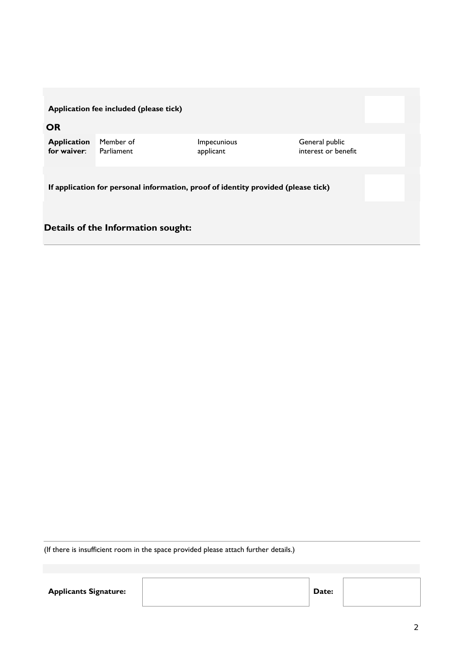### **Application fee included (please tick)**

**OR**

| <b>Application</b> Member of |            | <i>Impecunious</i> | General public      |
|------------------------------|------------|--------------------|---------------------|
| for waiver: $\blacksquare$   | Parliament | applicant          | interest or benefit |

**If application for personal information, proof of identity provided (please tick)**

### **Details of the Information sought:**

(If there is insufficient room in the space provided please attach further details.)

Applicants Signature: **Applicants Signature: Date:**